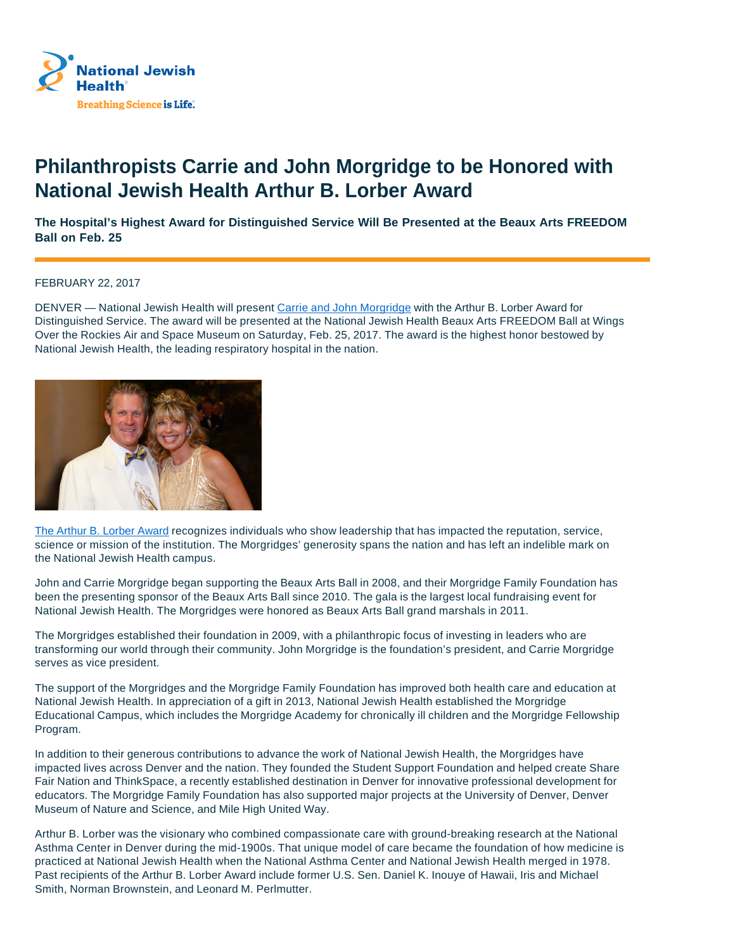

## **Philanthropists Carrie and John Morgridge to be Honored with National Jewish Health Arthur B. Lorber Award**

**The Hospital's Highest Award for Distinguished Service Will Be Presented at the Beaux Arts FREEDOM Ball on Feb. 25**

FEBRUARY 22, 2017

DENVER — National Jewish Health will present Carrie and John Morgridge with the Arthur B. Lorber Award for Distinguished Service. The award will be presented at the National Jewish Health Beaux Arts FREEDOM Ball at Wings Over the Rockies Air and Space Museum on Saturday, Feb. 25, 2017. The award is the highest honor bestowed by National Jewish Health, the leading respiratory hospital in the nation.



The Arthur B. Lorber Award recognizes individuals who show leadership that has impacted the reputation, service, science or mission of the institution. The Morgridges' generosity spans the nation and has left an indelible mark on the National Jewish Health campus.

John and Carrie Morgridge began supporting the Beaux Arts Ball in 2008, and their Morgridge Family Foundation has been the presenting sponsor of the Beaux Arts Ball since 2010. The gala is the largest local fundraising event for National Jewish Health. The Morgridges were honored as Beaux Arts Ball grand marshals in 2011.

The Morgridges established their foundation in 2009, with a philanthropic focus of investing in leaders who are transforming our world through their community. John Morgridge is the foundation's president, and Carrie Morgridge serves as vice president.

The support of the Morgridges and the Morgridge Family Foundation has improved both health care and education at National Jewish Health. In appreciation of a gift in 2013, National Jewish Health established the Morgridge Educational Campus, which includes the Morgridge Academy for chronically ill children and the Morgridge Fellowship Program.

In addition to their generous contributions to advance the work of National Jewish Health, the Morgridges have impacted lives across Denver and the nation. They founded the Student Support Foundation and helped create Share Fair Nation and ThinkSpace, a recently established destination in Denver for innovative professional development for educators. The Morgridge Family Foundation has also supported major projects at the University of Denver, Denver Museum of Nature and Science, and Mile High United Way.

Arthur B. Lorber was the visionary who combined compassionate care with ground-breaking research at the National Asthma Center in Denver during the mid-1900s. That unique model of care became the foundation of how medicine is practiced at National Jewish Health when the National Asthma Center and National Jewish Health merged in 1978. Past recipients of the Arthur B. Lorber Award include former U.S. Sen. Daniel K. Inouye of Hawaii, Iris and Michael Smith, Norman Brownstein, and Leonard M. Perlmutter.